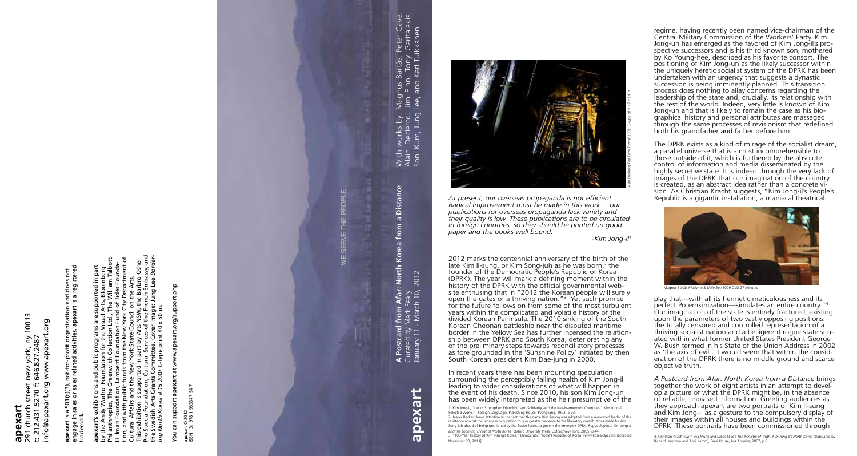## 291 church street new york, ny 10013 www.apexart. **apexart**<br>291 church street new york, ny<br>t: 212.431.5270 f: 646.827.2487<br>info@apexart.org www.apexart t: 212.431.5270 f: 646.827.2487

10013

engage in sales or sales related activities. **apexart** is a registered and does not<br>: is a registered **apexart** is a 501(c)(3), not-for-profit organization and does not ot-for-profit organization<br>related activities. apexart org ് ക a 501(c)(3),<br>sales or sale **apexart** is a<br>engage in s<br>trademark.

info@apexart.org www.apexart.org

**apexart's** exhibitions and public programs are supported in part<br>by the Andy Warhol Foundation for the Visual Arts, Bloomberg<br>Philanthropies, The Greenwich Collection Ltd., The William Talbott<br>Hillman Foundation, Lambent Pro Suecia Foundation, Cultural Services of the French Embassy, and tion, and with public funds from the New York City Department of the Swedish Arts Grants Committee. Cover image: Jung Lee *Border-*Philanthropies, The Greenwich Collection Ltd., The William Talbott This exhibition is supported in part by Arts NSW, the Barbro Osher Hillman Foundation, Lambent Foundation Fund of Tides Founda**apexart's** exhibitions and public programs are supported in part by the Andy Warhol Foundation for the Visual Arts, Bloomberg Cultural Affairs and the New York State Council on the Arts. *ing North Korea # 15* 2007 C-type print 40 x 50 in. ρη

trademark.

You can support apexart at www.apexart.org/support.php You can support **apexart** at www.apexart.org/support.php

apexart © 2012<br>SBN-13: 978-1-933347-54-7 ISBN-13: 978-1-933347-54-7

**apexart** © 2012

In recent years there has been mounting speculation surrounding the perceptibly failing health of Kim Jong-il leading to wider considerations of what will happen in the event of his death. Since 2010, his son Kim Jong-un has been widely interpreted as the heir presumptive of the

*At present, our overseas propaganda is not efficient. Radical improvement must be made in this work… our publications for overseas propaganda lack variety and their quality is low. These publications are to be circulated in foreign countries, so they should be printed on good paper and the books well bound.*

-*Kim Jong-il 1*

2012 marks the centennial anniversary of the birth of the late Kim Il-sung, or Kim Song-juh as he was born,<sup>2</sup> the founder of the Democratic People's Republic of Korea (DPRK). The year will mark a defining moment within the history of the DPRK with the official governmental website enthusing that in "2012 the Korean people will surely open the gates of a thriving nation." 3 Yet such promise for the future follows on from some of the most turbulent years within the complicated and volatile history of the divided Korean Peninsula. The 2010 sinking of the South Korean Cheonan battleship near the disputed maritime border in the Yellow Sea has further incensed the relationship between DPRK and South Korea, deteriorating any of the preliminary steps towards reconciliatory processes as fore grounded in the 'Sunshine Policy' initiated by then South Korean president Kim Dae-jung in 2000.

1. Kim Jong-il, "Let us Strengthen Friendship and Solidarity with the Newly-emergent Countries," Kim Jong-il: Selected Works 1, Foreign Languages Publishing House, Pyongyang, 1992, p 93. 2. Jasper Becker draws attention to the fact that the name Kim Il-sung was adopted from a renowned leader of the resistance against the Japanese occupation to give greater credence to the liberatory contributions made by Kim Song Juh ahead of being positioned by the Soviet forces to govern the emergent DPRK. *Rogue Regime: Kim Jong-il* 

## January 11 - March 10, 2012 Curated by Mark Feary **d from Af**a<br>· Mark Fear<br>- March 1 **A Postcard**<br>Curated by N<br>January 11 -

apexa

With works by: Magnus Bärtås, Peter Cave, Alain Declercq, Jim Finn, Tony Garifalakis, Magnus Bärtås, Peter Cave,<br>Jim Finn, Tony Garifalakis,<br>Lee, and Karl Tuikkanen With works by: I<br>Alain Declercq,<br>Soni Kum, Jung I

**Distance A Postcard from Afar: North Korea from a Distance**  $\overline{\mathbf{a}}$ from Korea Afar: North 2012  $rac{10}{10}$ 

> *and the Looming Threat of North Korea*, Oxford University Press, Oxford/New York, 2005, p 44. 3. "100-Year History of Kim Il-sung's Korea," Democratic People's Republic of Korea, www.korea-dpr.com [accessed November 28, 2011].

regime, having recently been named vice-chairman of the Central Military Commission of the Workers' Party. Kim Jong-un has emerged as the favored of Kim Jong-il's prospective successors and is his third known son, mothered by Ko Young-hee, described as his favorite consort. The positioning of Kim Jong-un as the likely successor within the uniquely heretic socialist system of the DPRK has been undertaken with an urgency that suggests a dynastic succession is being imminently planned. This transition process does nothing to allay concerns regarding the leadership of the state and, crucially, its relationship with the rest of the world. Indeed, very little is known of Kim Jong-un and that is likely to remain the case as his biographical history and personal attributes are massaged through the same processes of revisionism that redefined both his grandfather and father before him.

The DPRK exists as a kind of mirage of the socialist dream, a parallel universe that is almost incomprehensible to those outside of it, which is furthered by the absolute control of information and media disseminated by the highly secretive state. It is indeed through the very lack of images of the DPRK that our imagination of the country is created, as an abstract idea rather than a concrete vision. As Christian Kracht suggests, "Kim Jong-il's People's Republic is a gigantic installation, a maniacal theatrical



play that—with all its hermetic meticulousness and its perfect Potemkinization—simulates an entire country." 4 Our imagination of the state is entirely fractured, existing upon the parameters of two vastly opposing positions: the totally censored and controlled representation of a thriving socialist nation and a belligerent rogue state situated within what former United States President George W. Bush termed in his State of the Union Address in 2002 as 'the axis of evil.' It would seem that within the consideration of the DPRK there is no middle ground and scarce objective truth.

*A Postcard from Afar: North Korea from a Distance* brings together the work of eight artists in an attempt to develop a picture of what the DPRK might be, in the absence of reliable, unbiased information. Greeting audiences as they approach apexart are two portraits of Kim Il-sung and Kim Jong-il as a gesture to the compulsory display of their images within all houses and buildings within the DPRK. These portraits have been commissioned through

Alain Declercq *The Third Tunnel* 2008 C-type print 47 x 84 in

Magnus Bärtås *Madame & Little Boy* 2009 DVD 27 minutes